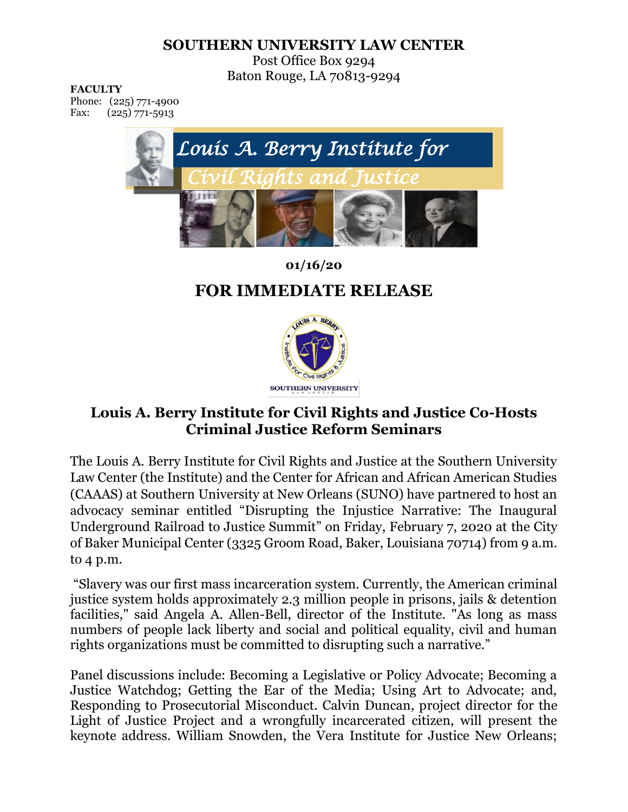## **SOUTHERN UNIVERSITY LAW CENTER**

Post Office Box 9294 Baton Rouge, LA 70813-9294

**FACULTY**

Phone: (225) 771-4900 Fax: (225) 771-5913



**01/16/20**

## **FOR IMMEDIATE RELEASE**



## **Louis A. Berry Institute for Civil Rights and Justice Co-Hosts Criminal Justice Reform Seminars**

The Louis A. Berry Institute for Civil Rights and Justice at the Southern University Law Center (the Institute) and the Center for African and African American Studies (CAAAS) at Southern University at New Orleans (SUNO) have partnered to host an advocacy seminar entitled "Disrupting the Injustice Narrative: The Inaugural Underground Railroad to Justice Summit" on Friday, February 7, 2020 at the City of Baker Municipal Center (3325 Groom Road, Baker, Louisiana 70714) from 9 a.m. to 4 p.m.

"Slavery was our first mass incarceration system. Currently, the American criminal justice system holds approximately 2.3 million people in prisons, jails & detention facilities," said Angela A. Allen-Bell, director of the Institute. "As long as mass numbers of people lack liberty and social and political equality, civil and human rights organizations must be committed to disrupting such a narrative."

Panel discussions include: Becoming a Legislative or Policy Advocate; Becoming a Justice Watchdog; Getting the Ear of the Media; Using Art to Advocate; and, Responding to Prosecutorial Misconduct. Calvin Duncan, project director for the Light of Justice Project and a wrongfully incarcerated citizen, will present the keynote address. William Snowden, the Vera Institute for Justice New Orleans;